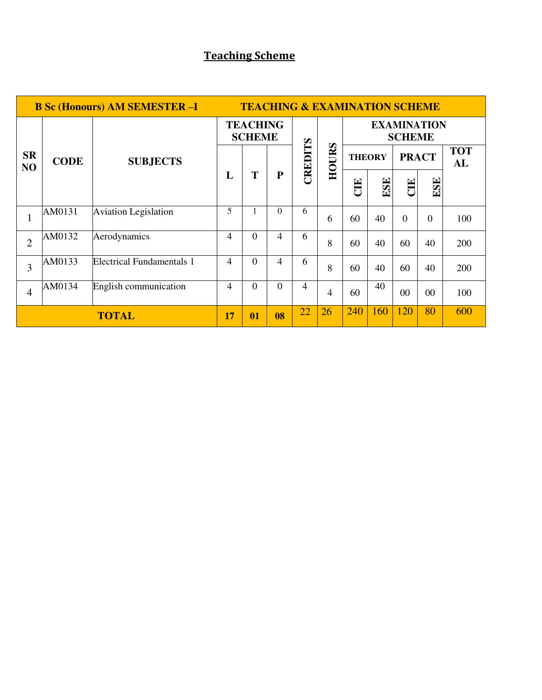# **Teaching Scheme**

| <b>B Sc (Honours) AM SEMESTER -I</b> |             |                                  |                                  | <b>TEACHING &amp; EXAMINATION SCHEME</b> |           |         |       |                                     |     |              |                |                  |  |
|--------------------------------------|-------------|----------------------------------|----------------------------------|------------------------------------------|-----------|---------|-------|-------------------------------------|-----|--------------|----------------|------------------|--|
|                                      | <b>CODE</b> |                                  | <b>TEACHING</b><br><b>SCHEME</b> |                                          |           |         |       | <b>EXAMINATION</b><br><b>SCHEME</b> |     |              |                |                  |  |
| <b>SR</b><br>N <sub>O</sub>          |             | <b>SUBJECTS</b>                  |                                  |                                          |           | CREDITS | HOURS | <b>THEORY</b>                       |     | <b>PRACT</b> |                | <b>TOT</b><br>AL |  |
|                                      |             |                                  | L                                | T                                        | ${\bf P}$ |         |       | CIE                                 | ESE | E            | ESE            |                  |  |
| $\mathbf{1}$                         | AM0131      | <b>Aviation Legislation</b>      | 5                                |                                          | $\Omega$  | 6       | 6     | 60                                  | 40  | $\Omega$     | $\overline{0}$ | 100              |  |
| $\overline{2}$                       | AM0132      | Aerodynamics                     | 4                                | $\Omega$                                 | 4         | 6       | 8     | 60                                  | 40  | 60           | 40             | 200              |  |
| 3                                    | AM0133      | <b>Electrical Fundamentals 1</b> | 4                                | $\Omega$                                 | 4         | 6       | 8     | 60                                  | 40  | 60           | 40             | 200              |  |
| $\overline{4}$                       | AM0134      | English communication            | 4                                | $\Omega$                                 | $\Omega$  | 4       | 4     | 60                                  | 40  | $00\,$       | $00\,$         | 100              |  |
| <b>TOTAL</b>                         |             |                                  |                                  | 01                                       | 08        | 22      | 26    | 240                                 | 160 | 120          | 80             | 600              |  |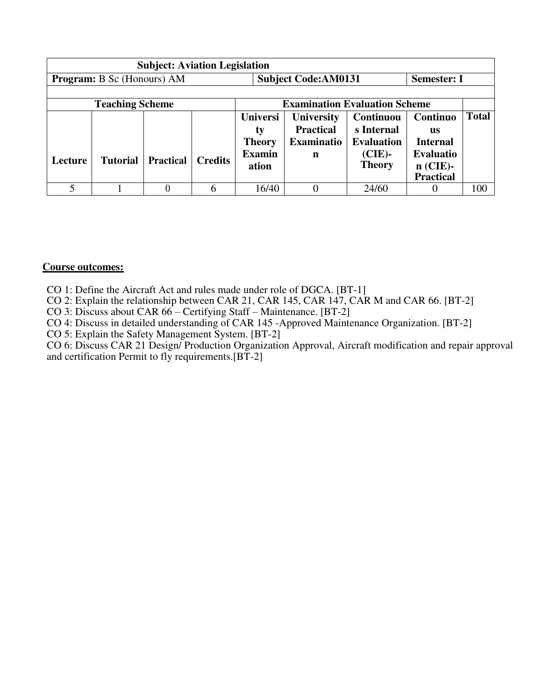| <b>Subject: Aviation Legislation</b> |                                   |                  |                |                                                                  |                                                          |                                                                            |                                                                                         |              |  |
|--------------------------------------|-----------------------------------|------------------|----------------|------------------------------------------------------------------|----------------------------------------------------------|----------------------------------------------------------------------------|-----------------------------------------------------------------------------------------|--------------|--|
|                                      | <b>Program:</b> B Sc (Honours) AM |                  |                |                                                                  | <b>Subject Code: AM0131</b>                              |                                                                            | <b>Semester: I</b>                                                                      |              |  |
|                                      |                                   |                  |                |                                                                  |                                                          |                                                                            |                                                                                         |              |  |
|                                      | <b>Teaching Scheme</b>            |                  |                |                                                                  | <b>Examination Evaluation Scheme</b>                     |                                                                            |                                                                                         |              |  |
| Lecture                              | <b>Tutorial</b>                   | <b>Practical</b> | <b>Credits</b> | <b>Universi</b><br>ty<br><b>Theory</b><br><b>Examin</b><br>ation | <b>University</b><br><b>Practical</b><br>Examinatio<br>n | Continuou<br>s Internal<br><b>Evaluation</b><br>$(CIE)$ -<br><b>Theory</b> | Continuo<br>us<br><b>Internal</b><br><b>Evaluatio</b><br>$n$ (CIE)-<br><b>Practical</b> | <b>Total</b> |  |
|                                      |                                   |                  |                | 16/40                                                            |                                                          | 24/60                                                                      |                                                                                         | 100          |  |

#### **Course outcomes:**

CO 1: Define the Aircraft Act and rules made under role of DGCA. [BT-1]

CO 2: Explain the relationship between CAR 21, CAR 145, CAR 147, CAR M and CAR 66. [BT-2]

CO 3: Discuss about CAR 66 – Certifying Staff – Maintenance. [BT-2]

CO 4: Discuss in detailed understanding of CAR 145 -Approved Maintenance Organization. [BT-2]

CO 5: Explain the Safety Management System. [BT-2]

CO 6: Discuss CAR 21 Design/ Production Organization Approval, Aircraft modification and repair approval and certification Permit to fly requirements.  $[BT-2]$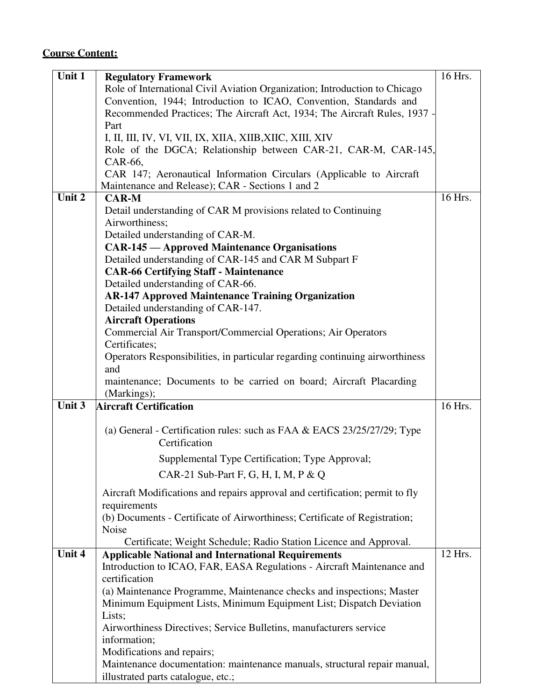| Unit $1$ | <b>Regulatory Framework</b>                                                  | 16 Hrs. |
|----------|------------------------------------------------------------------------------|---------|
|          | Role of International Civil Aviation Organization; Introduction to Chicago   |         |
|          | Convention, 1944; Introduction to ICAO, Convention, Standards and            |         |
|          | Recommended Practices; The Aircraft Act, 1934; The Aircraft Rules, 1937 -    |         |
|          | Part                                                                         |         |
|          | I, II, III, IV, VI, VII, IX, XIIA, XIIB,XIIC, XIII, XIV                      |         |
|          | Role of the DGCA; Relationship between CAR-21, CAR-M, CAR-145,               |         |
|          | CAR-66,                                                                      |         |
|          | CAR 147; Aeronautical Information Circulars (Applicable to Aircraft          |         |
|          | Maintenance and Release); CAR - Sections 1 and 2                             |         |
| Unit $2$ | <b>CAR-M</b>                                                                 | 16 Hrs. |
|          | Detail understanding of CAR M provisions related to Continuing               |         |
|          | Airworthiness;                                                               |         |
|          | Detailed understanding of CAR-M.                                             |         |
|          | <b>CAR-145</b> — Approved Maintenance Organisations                          |         |
|          | Detailed understanding of CAR-145 and CAR M Subpart F                        |         |
|          | <b>CAR-66 Certifying Staff - Maintenance</b>                                 |         |
|          | Detailed understanding of CAR-66.                                            |         |
|          | <b>AR-147 Approved Maintenance Training Organization</b>                     |         |
|          | Detailed understanding of CAR-147.                                           |         |
|          | <b>Aircraft Operations</b>                                                   |         |
|          | Commercial Air Transport/Commercial Operations; Air Operators                |         |
|          | Certificates;                                                                |         |
|          | Operators Responsibilities, in particular regarding continuing airworthiness |         |
|          | and                                                                          |         |
|          | maintenance; Documents to be carried on board; Aircraft Placarding           |         |
|          | (Markings);                                                                  |         |
| Unit $3$ | <b>Aircraft Certification</b>                                                | 16 Hrs. |
|          | (a) General - Certification rules: such as FAA & EACS 23/25/27/29; Type      |         |
|          | Certification                                                                |         |
|          |                                                                              |         |
|          | Supplemental Type Certification; Type Approval;                              |         |
|          | CAR-21 Sub-Part F, G, H, I, M, P & Q                                         |         |
|          | Aircraft Modifications and repairs approval and certification; permit to fly |         |
|          | requirements                                                                 |         |
|          | (b) Documents - Certificate of Airworthiness; Certificate of Registration;   |         |
|          | Noise                                                                        |         |
|          | Certificate; Weight Schedule; Radio Station Licence and Approval.            |         |
| Unit 4   | <b>Applicable National and International Requirements</b>                    | 12 Hrs. |
|          | Introduction to ICAO, FAR, EASA Regulations - Aircraft Maintenance and       |         |
|          | certification                                                                |         |
|          | (a) Maintenance Programme, Maintenance checks and inspections; Master        |         |
|          | Minimum Equipment Lists, Minimum Equipment List; Dispatch Deviation          |         |
|          | Lists;                                                                       |         |
|          | Airworthiness Directives; Service Bulletins, manufacturers service           |         |
|          | information;                                                                 |         |
|          |                                                                              |         |
|          | Modifications and repairs;                                                   |         |
|          | Maintenance documentation: maintenance manuals, structural repair manual,    |         |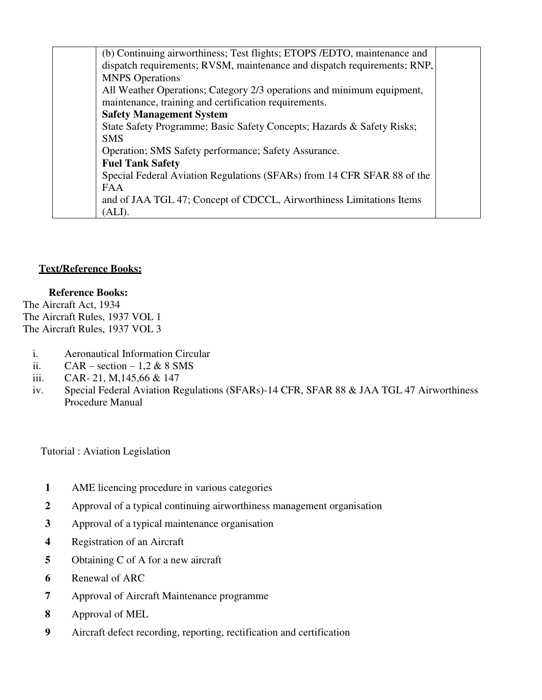(b) Continuing airworthiness; Test flights; ETOPS /EDTO, maintenance and dispatch requirements; RVSM, maintenance and dispatch requirements; RNP, MNPS Operations All Weather Operations; Category 2/3 operations and minimum equipment, maintenance, training and certification requirements. **Safety Management System**  State Safety Programme; Basic Safety Concepts; Hazards & Safety Risks; SMS Operation; SMS Safety performance; Safety Assurance. **Fuel Tank Safety**  Special Federal Aviation Regulations (SFARs) from 14 CFR SFAR 88 of the FAA and of JAA TGL 47; Concept of CDCCL, Airworthiness Limitations Items (ALI).

## **Text/Reference Books:**

## **Reference Books:**

The Aircraft Act, 1934 The Aircraft Rules, 1937 VOL 1 The Aircraft Rules, 1937 VOL 3

- i. Aeronautical Information Circular
- ii.  $CAR section 1.2 \& 8 \text{ SMS}$
- iii. CAR- 21, M,145,66 & 147
- iv. Special Federal Aviation Regulations (SFARs)-14 CFR, SFAR 88 & JAA TGL 47 Airworthiness Procedure Manual

Tutorial : Aviation Legislation

- **1** AME licencing procedure in various categories
- **2** Approval of a typical continuing airworthiness management organisation
- **3** Approval of a typical maintenance organisation
- **4** Registration of an Aircraft
- **5** Obtaining C of A for a new aircraft
- **6** Renewal of ARC
- **7** Approval of Aircraft Maintenance programme
- **8** Approval of MEL
- **9** Aircraft defect recording, reporting, rectification and certification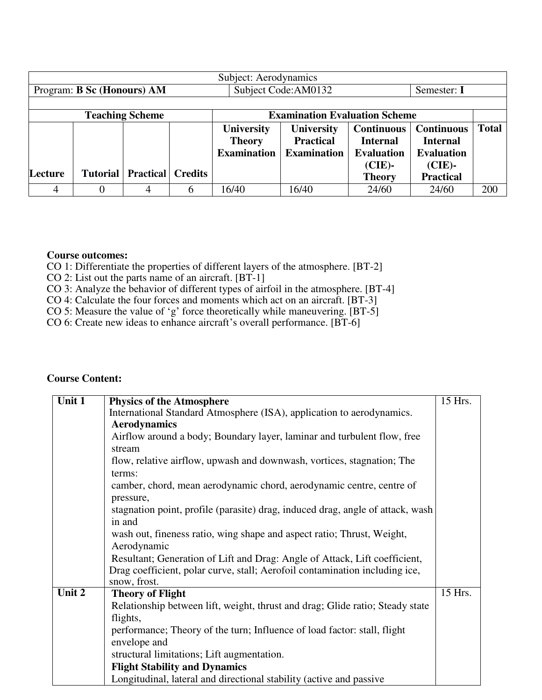| Subject: Aerodynamics      |  |                                       |  |                    |                                      |                   |                   |              |
|----------------------------|--|---------------------------------------|--|--------------------|--------------------------------------|-------------------|-------------------|--------------|
| Program: B Sc (Honours) AM |  |                                       |  |                    | Subject Code: AM0132                 |                   | Semester: I       |              |
|                            |  |                                       |  |                    |                                      |                   |                   |              |
|                            |  | <b>Teaching Scheme</b>                |  |                    | <b>Examination Evaluation Scheme</b> |                   |                   |              |
|                            |  |                                       |  | <b>University</b>  | <b>University</b>                    | <b>Continuous</b> | <b>Continuous</b> | <b>Total</b> |
|                            |  |                                       |  | <b>Theory</b>      | <b>Practical</b>                     | <b>Internal</b>   | <b>Internal</b>   |              |
|                            |  |                                       |  | <b>Examination</b> | <b>Examination</b>                   | <b>Evaluation</b> | <b>Evaluation</b> |              |
|                            |  |                                       |  |                    |                                      | $(CIE)$ -         | $(CIE)$ -         |              |
| Lecture                    |  | <b>Tutorial   Practical   Credits</b> |  |                    |                                      | <b>Theory</b>     | <b>Practical</b>  |              |
|                            |  |                                       |  | 6/40               | 16/40                                | 24/60             | 24/60             | 200          |

#### **Course outcomes:**

CO 1: Differentiate the properties of different layers of the atmosphere. [BT-2]

CO 2: List out the parts name of an aircraft. [BT-1]

CO 3: Analyze the behavior of different types of airfoil in the atmosphere. [BT-4]

CO 4: Calculate the four forces and moments which act on an aircraft. [BT-3]

CO 5: Measure the value of 'g' force theoretically while maneuvering. [BT-5]

CO 6: Create new ideas to enhance aircraft's overall performance. [BT-6]

| Unit $1$ | <b>Physics of the Atmosphere</b>                                                            | 15 Hrs. |
|----------|---------------------------------------------------------------------------------------------|---------|
|          | International Standard Atmosphere (ISA), application to aerodynamics.                       |         |
|          | <b>Aerodynamics</b>                                                                         |         |
|          | Airflow around a body; Boundary layer, laminar and turbulent flow, free                     |         |
|          | stream                                                                                      |         |
|          | flow, relative airflow, upwash and downwash, vortices, stagnation; The                      |         |
|          | terms:                                                                                      |         |
|          | camber, chord, mean aerodynamic chord, aerodynamic centre, centre of                        |         |
|          | pressure,                                                                                   |         |
|          | stagnation point, profile (parasite) drag, induced drag, angle of attack, wash              |         |
|          | in and                                                                                      |         |
|          | wash out, fineness ratio, wing shape and aspect ratio; Thrust, Weight,                      |         |
|          | Aerodynamic                                                                                 |         |
|          | Resultant; Generation of Lift and Drag: Angle of Attack, Lift coefficient,                  |         |
|          | Drag coefficient, polar curve, stall; Aerofoil contamination including ice,<br>snow, frost. |         |
| Unit 2   | <b>Theory of Flight</b>                                                                     | 15 Hrs. |
|          | Relationship between lift, weight, thrust and drag; Glide ratio; Steady state               |         |
|          | flights,                                                                                    |         |
|          | performance; Theory of the turn; Influence of load factor: stall, flight                    |         |
|          | envelope and                                                                                |         |
|          | structural limitations; Lift augmentation.                                                  |         |
|          | <b>Flight Stability and Dynamics</b>                                                        |         |
|          | Longitudinal, lateral and directional stability (active and passive                         |         |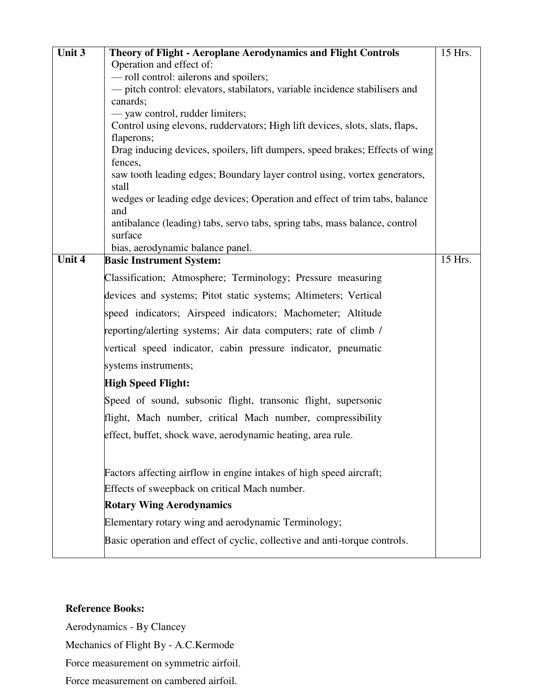| Unit 3 | Theory of Flight - Aeroplane Aerodynamics and Flight Controls                                                   | 15 Hrs. |
|--------|-----------------------------------------------------------------------------------------------------------------|---------|
|        | Operation and effect of:                                                                                        |         |
|        | - roll control: ailerons and spoilers;                                                                          |         |
|        | - pitch control: elevators, stabilators, variable incidence stabilisers and                                     |         |
|        | canards;                                                                                                        |         |
|        | - yaw control, rudder limiters;<br>Control using elevons, ruddervators; High lift devices, slots, slats, flaps, |         |
|        | flaperons;                                                                                                      |         |
|        | Drag inducing devices, spoilers, lift dumpers, speed brakes; Effects of wing                                    |         |
|        | fences,                                                                                                         |         |
|        | saw tooth leading edges; Boundary layer control using, vortex generators,                                       |         |
|        | stall                                                                                                           |         |
|        | wedges or leading edge devices; Operation and effect of trim tabs, balance<br>and                               |         |
|        | antibalance (leading) tabs, servo tabs, spring tabs, mass balance, control<br>surface                           |         |
|        | bias, aerodynamic balance panel.                                                                                |         |
| Unit 4 | <b>Basic Instrument System:</b>                                                                                 | 15 Hrs. |
|        | Classification; Atmosphere; Terminology; Pressure measuring                                                     |         |
|        | devices and systems; Pitot static systems; Altimeters; Vertical                                                 |         |
|        |                                                                                                                 |         |
|        | speed indicators; Airspeed indicators; Machometer; Altitude                                                     |         |
|        | reporting/alerting systems; Air data computers; rate of climb /                                                 |         |
|        | vertical speed indicator, cabin pressure indicator, pneumatic                                                   |         |
|        | systems instruments;                                                                                            |         |
|        | <b>High Speed Flight:</b>                                                                                       |         |
|        | Speed of sound, subsonic flight, transonic flight, supersonic                                                   |         |
|        | flight, Mach number, critical Mach number, compressibility                                                      |         |
|        | effect, buffet, shock wave, aerodynamic heating, area rule.                                                     |         |
|        |                                                                                                                 |         |
|        | Factors affecting airflow in engine intakes of high speed aircraft;                                             |         |
|        | Effects of sweepback on critical Mach number.                                                                   |         |
|        | <b>Rotary Wing Aerodynamics</b>                                                                                 |         |
|        | Elementary rotary wing and aerodynamic Terminology;                                                             |         |
|        | Basic operation and effect of cyclic, collective and anti-torque controls.                                      |         |
|        |                                                                                                                 |         |

### **Reference Books:**

Aerodynamics - By Clancey

Mechanics of Flight By - A.C.Kermode

Force measurement on symmetric airfoil.

Force measurement on cambered airfoil.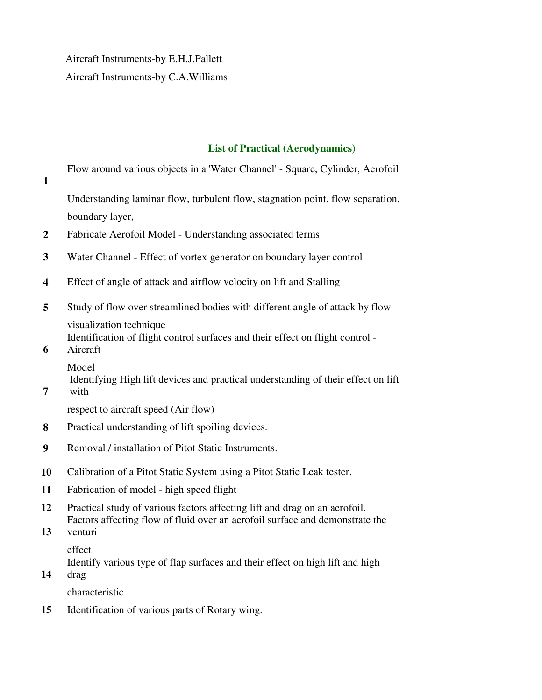Aircraft Instruments-by E.H.J.Pallett Aircraft Instruments-by C.A.Williams

#### **List of Practical (Aerodynamics)**

**1**  Flow around various objects in a 'Water Channel' - Square, Cylinder, Aerofoil - Understanding laminar flow, turbulent flow, stagnation point, flow separation, boundary layer, **2** Fabricate Aerofoil Model - Understanding associated terms **3** Water Channel - Effect of vortex generator on boundary layer control **4** Effect of angle of attack and airflow velocity on lift and Stalling

**5** Study of flow over streamlined bodies with different angle of attack by flow visualization technique Identification of flight control surfaces and their effect on flight control -

**6**  Aircraft

**7** 

Model

Identifying High lift devices and practical understanding of their effect on lift with

respect to aircraft speed (Air flow)

- **8** Practical understanding of lift spoiling devices.
- **9** Removal / installation of Pitot Static Instruments.
- **10** Calibration of a Pitot Static System using a Pitot Static Leak tester.
- **11** Fabrication of model high speed flight
- **12** Practical study of various factors affecting lift and drag on an aerofoil. Factors affecting flow of fluid over an aerofoil surface and demonstrate the
- **13** venturi

effect

Identify various type of flap surfaces and their effect on high lift and high

**14** drag

characteristic

**15** Identification of various parts of Rotary wing.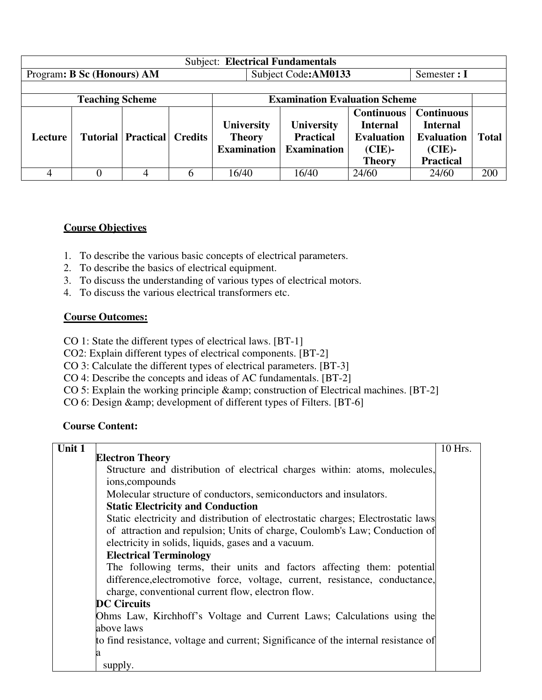| <b>Subject: Electrical Fundamentals</b> |                        |                                       |   |                                                          |                                                             |                                                                                         |                                                                                            |              |  |
|-----------------------------------------|------------------------|---------------------------------------|---|----------------------------------------------------------|-------------------------------------------------------------|-----------------------------------------------------------------------------------------|--------------------------------------------------------------------------------------------|--------------|--|
| Program: B Sc (Honours) AM              |                        |                                       |   |                                                          | Subject Code: AM0133                                        |                                                                                         | Semester $: I$                                                                             |              |  |
|                                         |                        |                                       |   |                                                          |                                                             |                                                                                         |                                                                                            |              |  |
|                                         | <b>Teaching Scheme</b> |                                       |   |                                                          | <b>Examination Evaluation Scheme</b>                        |                                                                                         |                                                                                            |              |  |
| Lecture                                 |                        | <b>Tutorial   Practical   Credits</b> |   | <b>University</b><br><b>Theory</b><br><b>Examination</b> | <b>University</b><br><b>Practical</b><br><b>Examination</b> | <b>Continuous</b><br><b>Internal</b><br><b>Evaluation</b><br>$(CIE)$ -<br><b>Theory</b> | <b>Continuous</b><br><b>Internal</b><br><b>Evaluation</b><br>$(CIE)$ -<br><b>Practical</b> | <b>Total</b> |  |
| 4                                       |                        |                                       | 6 | 16/40                                                    | 16/40                                                       | 24/60                                                                                   | 24/60                                                                                      | 200          |  |

### **Course Objectives**

- 1. To describe the various basic concepts of electrical parameters.
- 2. To describe the basics of electrical equipment.
- 3. To discuss the understanding of various types of electrical motors.
- 4. To discuss the various electrical transformers etc.

#### **Course Outcomes:**

- CO 1: State the different types of electrical laws. [BT-1]
- CO2: Explain different types of electrical components. [BT-2]
- CO 3: Calculate the different types of electrical parameters. [BT-3]
- CO 4: Describe the concepts and ideas of AC fundamentals. [BT-2]
- CO 5: Explain the working principle & amp; construction of Electrical machines. [BT-2]
- CO 6: Design & amp; development of different types of Filters. [BT-6]

| Unit 1 |                                                                                     | 10 Hrs. |
|--------|-------------------------------------------------------------------------------------|---------|
|        | <b>Electron Theory</b>                                                              |         |
|        | Structure and distribution of electrical charges within: atoms, molecules,          |         |
|        | ions, compounds                                                                     |         |
|        | Molecular structure of conductors, semiconductors and insulators.                   |         |
|        | <b>Static Electricity and Conduction</b>                                            |         |
|        | Static electricity and distribution of electrostatic charges; Electrostatic laws    |         |
|        | of attraction and repulsion; Units of charge, Coulomb's Law; Conduction of          |         |
|        | electricity in solids, liquids, gases and a vacuum.                                 |         |
|        | <b>Electrical Terminology</b>                                                       |         |
|        | The following terms, their units and factors affecting them: potential              |         |
|        | difference, electromotive force, voltage, current, resistance, conductance,         |         |
|        | charge, conventional current flow, electron flow.                                   |         |
|        | <b>DC Circuits</b>                                                                  |         |
|        | Ohms Law, Kirchhoff's Voltage and Current Laws; Calculations using the              |         |
|        | above laws                                                                          |         |
|        | to find resistance, voltage and current; Significance of the internal resistance of |         |
|        |                                                                                     |         |
|        | supply.                                                                             |         |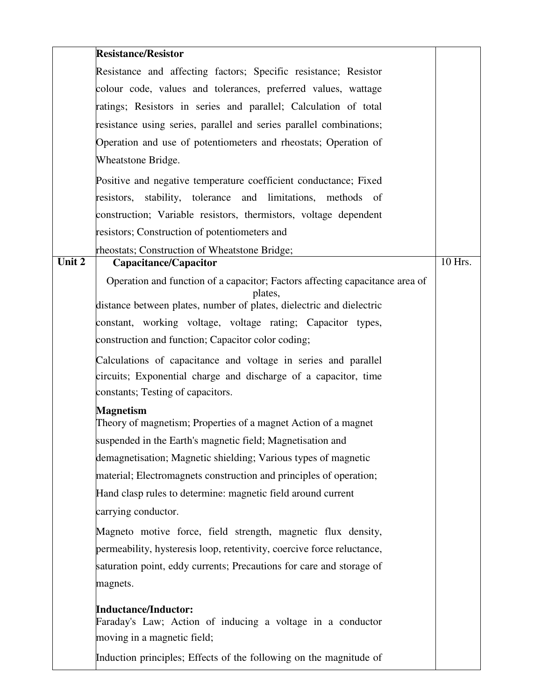|        | <b>Resistance/Resistor</b>                                                                                                                                      |         |
|--------|-----------------------------------------------------------------------------------------------------------------------------------------------------------------|---------|
|        | Resistance and affecting factors; Specific resistance; Resistor                                                                                                 |         |
|        | colour code, values and tolerances, preferred values, wattage                                                                                                   |         |
|        | ratings; Resistors in series and parallel; Calculation of total                                                                                                 |         |
|        | resistance using series, parallel and series parallel combinations;                                                                                             |         |
|        | Operation and use of potentiometers and rheostats; Operation of                                                                                                 |         |
|        | Wheatstone Bridge.                                                                                                                                              |         |
|        | Positive and negative temperature coefficient conductance; Fixed                                                                                                |         |
|        | resistors, stability, tolerance and limitations, methods of                                                                                                     |         |
|        | construction; Variable resistors, thermistors, voltage dependent                                                                                                |         |
|        | resistors; Construction of potentiometers and                                                                                                                   |         |
|        | rheostats; Construction of Wheatstone Bridge;                                                                                                                   |         |
| Unit 2 | <b>Capacitance/Capacitor</b>                                                                                                                                    | 10 Hrs. |
|        | Operation and function of a capacitor; Factors affecting capacitance area of<br>plates,<br>distance between plates, number of plates, dielectric and dielectric |         |
|        | constant, working voltage, voltage rating; Capacitor types,                                                                                                     |         |
|        | construction and function; Capacitor color coding;                                                                                                              |         |
|        |                                                                                                                                                                 |         |
|        | Calculations of capacitance and voltage in series and parallel                                                                                                  |         |
|        | circuits; Exponential charge and discharge of a capacitor, time<br>constants; Testing of capacitors.                                                            |         |
|        | <b>Magnetism</b>                                                                                                                                                |         |
|        | Theory of magnetism; Properties of a magnet Action of a magnet                                                                                                  |         |
|        | suspended in the Earth's magnetic field; Magnetisation and                                                                                                      |         |
|        | demagnetisation; Magnetic shielding; Various types of magnetic                                                                                                  |         |
|        | material; Electromagnets construction and principles of operation;                                                                                              |         |
|        | Hand clasp rules to determine: magnetic field around current                                                                                                    |         |
|        | carrying conductor.                                                                                                                                             |         |
|        | Magneto motive force, field strength, magnetic flux density,                                                                                                    |         |
|        | permeability, hysteresis loop, retentivity, coercive force reluctance,                                                                                          |         |
|        | saturation point, eddy currents; Precautions for care and storage of                                                                                            |         |
|        | magnets.                                                                                                                                                        |         |
|        | <b>Inductance/Inductor:</b><br>Faraday's Law; Action of inducing a voltage in a conductor                                                                       |         |
|        | moving in a magnetic field;                                                                                                                                     |         |
|        | Induction principles; Effects of the following on the magnitude of                                                                                              |         |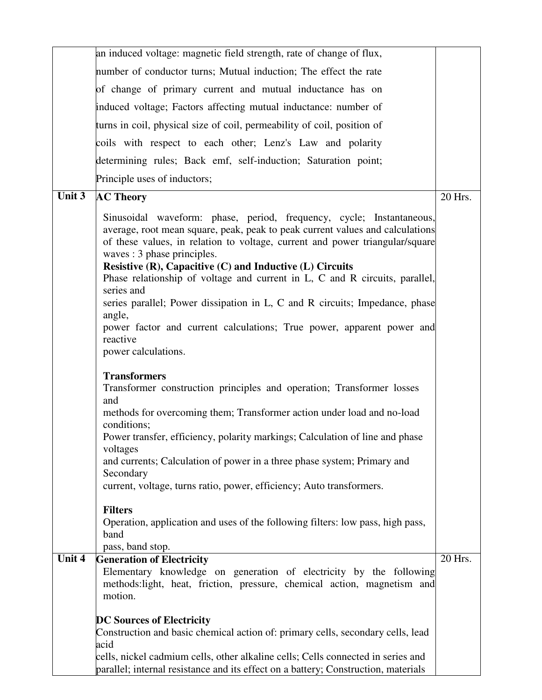|                            | an induced voltage: magnetic field strength, rate of change of flux,                                                                                                                                                                                                                                                             |         |
|----------------------------|----------------------------------------------------------------------------------------------------------------------------------------------------------------------------------------------------------------------------------------------------------------------------------------------------------------------------------|---------|
|                            | number of conductor turns; Mutual induction; The effect the rate                                                                                                                                                                                                                                                                 |         |
|                            | of change of primary current and mutual inductance has on                                                                                                                                                                                                                                                                        |         |
|                            | induced voltage; Factors affecting mutual inductance: number of                                                                                                                                                                                                                                                                  |         |
|                            | turns in coil, physical size of coil, permeability of coil, position of                                                                                                                                                                                                                                                          |         |
|                            | coils with respect to each other; Lenz's Law and polarity                                                                                                                                                                                                                                                                        |         |
|                            | determining rules; Back emf, self-induction; Saturation point;                                                                                                                                                                                                                                                                   |         |
|                            | Principle uses of inductors;                                                                                                                                                                                                                                                                                                     |         |
| Unit 3                     | <b>AC Theory</b>                                                                                                                                                                                                                                                                                                                 | 20 Hrs. |
|                            | Sinusoidal waveform: phase, period, frequency, cycle; Instantaneous,<br>average, root mean square, peak, peak to peak current values and calculations<br>of these values, in relation to voltage, current and power triangular/square<br>waves : 3 phase principles.<br>Resistive (R), Capacitive (C) and Inductive (L) Circuits |         |
|                            | Phase relationship of voltage and current in L, C and R circuits, parallel,<br>series and                                                                                                                                                                                                                                        |         |
|                            | series parallel; Power dissipation in L, C and R circuits; Impedance, phase<br>angle,<br>power factor and current calculations; True power, apparent power and                                                                                                                                                                   |         |
|                            | reactive<br>power calculations.                                                                                                                                                                                                                                                                                                  |         |
|                            | <b>Transformers</b><br>Transformer construction principles and operation; Transformer losses<br>and                                                                                                                                                                                                                              |         |
|                            | methods for overcoming them; Transformer action under load and no-load<br>conditions;                                                                                                                                                                                                                                            |         |
|                            | Power transfer, efficiency, polarity markings; Calculation of line and phase<br>voltages                                                                                                                                                                                                                                         |         |
|                            | and currents; Calculation of power in a three phase system; Primary and<br>Secondary                                                                                                                                                                                                                                             |         |
|                            | current, voltage, turns ratio, power, efficiency; Auto transformers.                                                                                                                                                                                                                                                             |         |
|                            | <b>Filters</b><br>Operation, application and uses of the following filters: low pass, high pass,<br>band<br>pass, band stop.                                                                                                                                                                                                     |         |
| $\overline{\text{Unit}}$ 4 | <b>Generation of Electricity</b>                                                                                                                                                                                                                                                                                                 | 20 Hrs. |
|                            | Elementary knowledge on generation of electricity by the following<br>methods:light, heat, friction, pressure, chemical action, magnetism and<br>motion.                                                                                                                                                                         |         |
|                            | <b>DC Sources of Electricity</b>                                                                                                                                                                                                                                                                                                 |         |
|                            | Construction and basic chemical action of: primary cells, secondary cells, lead                                                                                                                                                                                                                                                  |         |
|                            | acid                                                                                                                                                                                                                                                                                                                             |         |
|                            | cells, nickel cadmium cells, other alkaline cells; Cells connected in series and<br>parallel; internal resistance and its effect on a battery; Construction, materials                                                                                                                                                           |         |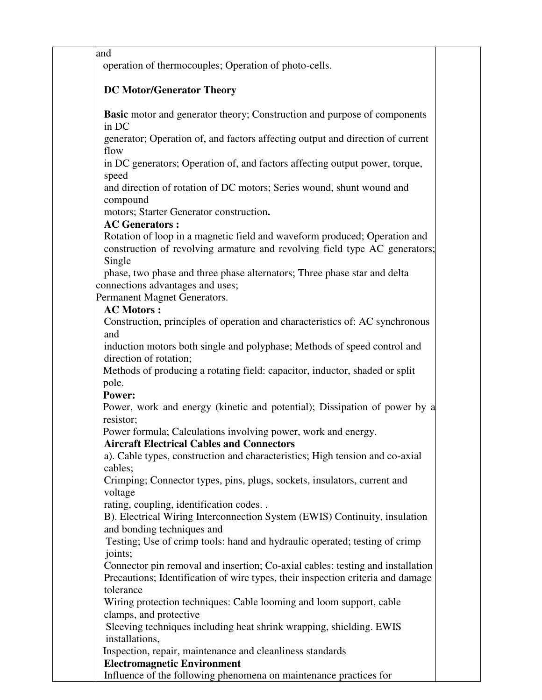and

operation of thermocouples; Operation of photo-cells.

## **DC Motor/Generator Theory**

**Basic** motor and generator theory; Construction and purpose of components in DC

generator; Operation of, and factors affecting output and direction of current flow

in DC generators; Operation of, and factors affecting output power, torque, speed

and direction of rotation of DC motors; Series wound, shunt wound and compound

motors; Starter Generator construction**.** 

## **AC Generators :**

Rotation of loop in a magnetic field and waveform produced; Operation and construction of revolving armature and revolving field type AC generators; Single

phase, two phase and three phase alternators; Three phase star and delta connections advantages and uses;

Permanent Magnet Generators.

## **AC Motors :**

Construction, principles of operation and characteristics of: AC synchronous and

induction motors both single and polyphase; Methods of speed control and direction of rotation;

Methods of producing a rotating field: capacitor, inductor, shaded or split pole.

### **Power:**

Power, work and energy (kinetic and potential); Dissipation of power by a resistor;

Power formula; Calculations involving power, work and energy.

## **Aircraft Electrical Cables and Connectors**

a). Cable types, construction and characteristics; High tension and co-axial cables;

Crimping; Connector types, pins, plugs, sockets, insulators, current and voltage

rating, coupling, identification codes. .

B). Electrical Wiring Interconnection System (EWIS) Continuity, insulation and bonding techniques and

Testing; Use of crimp tools: hand and hydraulic operated; testing of crimp joints;

Connector pin removal and insertion; Co-axial cables: testing and installation Precautions; Identification of wire types, their inspection criteria and damage tolerance

Wiring protection techniques: Cable looming and loom support, cable clamps, and protective

Sleeving techniques including heat shrink wrapping, shielding. EWIS installations,

Inspection, repair, maintenance and cleanliness standards

## **Electromagnetic Environment**

Influence of the following phenomena on maintenance practices for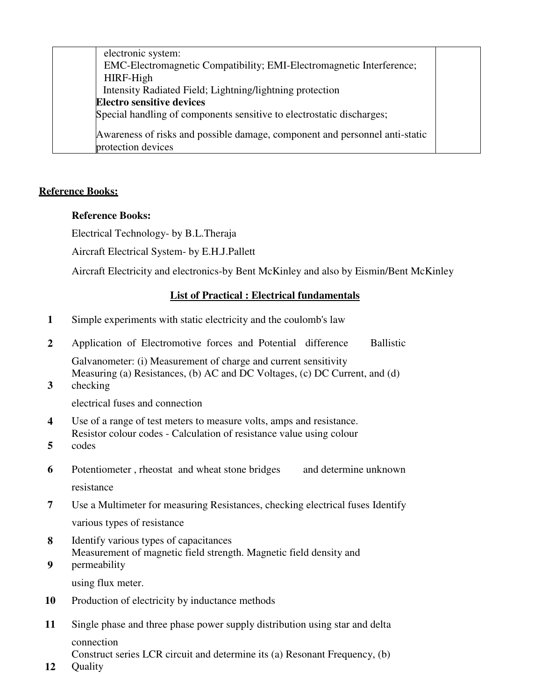| electronic system:                                                                                |  |
|---------------------------------------------------------------------------------------------------|--|
| EMC-Electromagnetic Compatibility; EMI-Electromagnetic Interference;                              |  |
| HIRF-High                                                                                         |  |
| Intensity Radiated Field; Lightning/lightning protection                                          |  |
| <b>Electro sensitive devices</b>                                                                  |  |
| Special handling of components sensitive to electrostatic discharges;                             |  |
| Awareness of risks and possible damage, component and personnel anti-static<br>protection devices |  |

#### **Reference Books:**

#### **Reference Books:**

Electrical Technology- by B.L.Theraja

Aircraft Electrical System- by E.H.J.Pallett

Aircraft Electricity and electronics-by Bent McKinley and also by Eismin/Bent McKinley

## **List of Practical : Electrical fundamentals**

- **1** Simple experiments with static electricity and the coulomb's law
- **2** Application of Electromotive forces and Potential difference Ballistic

Galvanometer: (i) Measurement of charge and current sensitivity Measuring (a) Resistances, (b) AC and DC Voltages, (c) DC Current, and (d)

**3**  checking

electrical fuses and connection

- **4** Use of a range of test meters to measure volts, amps and resistance. Resistor colour codes - Calculation of resistance value using colour
- **5**  codes
- **6** Potentiometer, rheostat and wheat stone bridges and determine unknown resistance
- **7** Use a Multimeter for measuring Resistances, checking electrical fuses Identify various types of resistance
- **8** Identify various types of capacitances **9**  Measurement of magnetic field strength. Magnetic field density and permeability

using flux meter.

- **10** Production of electricity by inductance methods
- **11** Single phase and three phase power supply distribution using star and delta connection Construct series LCR circuit and determine its (a) Resonant Frequency, (b)
- **12 Quality**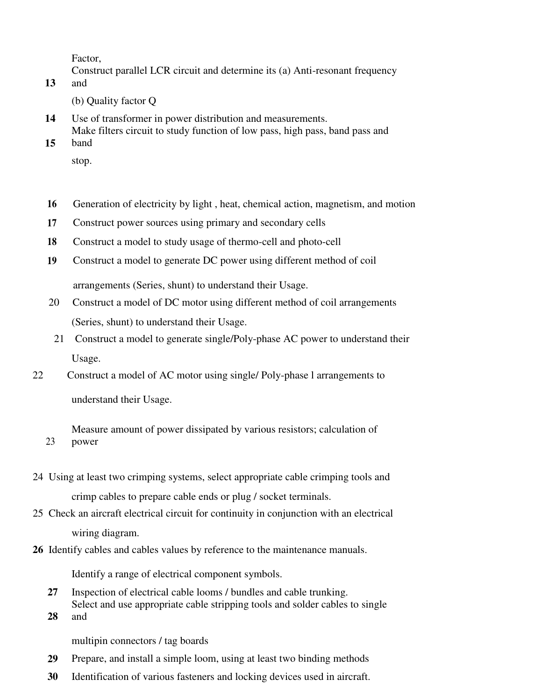Factor,

Construct parallel LCR circuit and determine its (a) Anti-resonant frequency

**13**  and

(b) Quality factor Q

- **14** Use of transformer in power distribution and measurements. Make filters circuit to study function of low pass, high pass, band pass and
- **15**  band
	- stop.
- **16** Generation of electricity by light , heat, chemical action, magnetism, and motion
- **17** Construct power sources using primary and secondary cells
- **18** Construct a model to study usage of thermo-cell and photo-cell
- **19** Construct a model to generate DC power using different method of coil arrangements (Series, shunt) to understand their Usage.
- 20 Construct a model of DC motor using different method of coil arrangements (Series, shunt) to understand their Usage.
- 21 Construct a model to generate single/Poly-phase AC power to understand their Usage.
- 22 Construct a model of AC motor using single/ Poly-phase l arrangements to understand their Usage.
	- Measure amount of power dissipated by various resistors; calculation of power
- 24 Using at least two crimping systems, select appropriate cable crimping tools and crimp cables to prepare cable ends or plug / socket terminals.
- 25 Check an aircraft electrical circuit for continuity in conjunction with an electrical wiring diagram.
- **26** Identify cables and cables values by reference to the maintenance manuals.

Identify a range of electrical component symbols.

- **27** Inspection of electrical cable looms / bundles and cable trunking. Select and use appropriate cable stripping tools and solder cables to single
- **28** and

23

multipin connectors / tag boards

- **29** Prepare, and install a simple loom, using at least two binding methods
- **30** Identification of various fasteners and locking devices used in aircraft.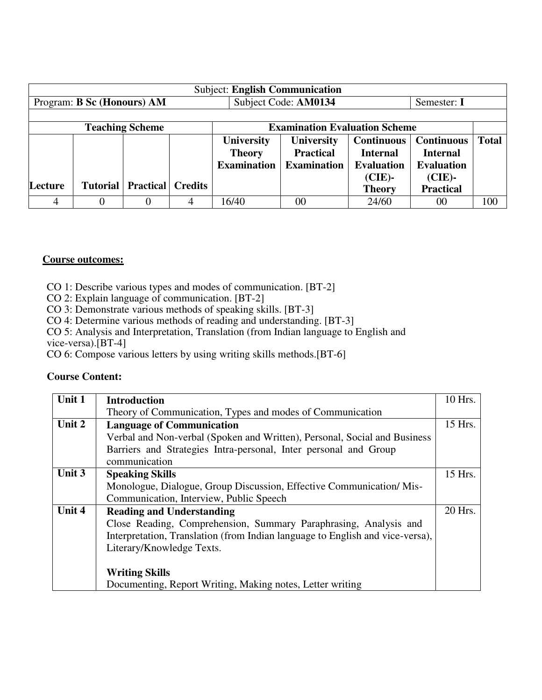| <b>Subject: English Communication</b> |                            |                        |                |                    |                                      |                   |                   |              |  |
|---------------------------------------|----------------------------|------------------------|----------------|--------------------|--------------------------------------|-------------------|-------------------|--------------|--|
|                                       | Program: B Sc (Honours) AM |                        |                |                    | Subject Code: AM0134<br>Semester: I  |                   |                   |              |  |
|                                       |                            |                        |                |                    |                                      |                   |                   |              |  |
|                                       |                            | <b>Teaching Scheme</b> |                |                    | <b>Examination Evaluation Scheme</b> |                   |                   |              |  |
|                                       |                            |                        |                | <b>University</b>  | <b>University</b>                    | <b>Continuous</b> | <b>Continuous</b> | <b>Total</b> |  |
|                                       |                            |                        |                | <b>Theory</b>      | <b>Practical</b>                     | <b>Internal</b>   | <b>Internal</b>   |              |  |
|                                       |                            |                        |                | <b>Examination</b> | <b>Examination</b>                   | <b>Evaluation</b> | <b>Evaluation</b> |              |  |
|                                       |                            |                        |                |                    |                                      | $(CIE)$ -         | $(CIE)$ -         |              |  |
| Lecture                               | <b>Tutorial</b>            | <b>Practical</b>       | <b>Credits</b> |                    |                                      | <b>Theory</b>     | <b>Practical</b>  |              |  |
| 4                                     | $_{0}$                     | $\theta$               | 4              | 16/40              | 00                                   | 24/60             | 00                | 100          |  |

#### **Course outcomes:**

CO 1: Describe various types and modes of communication. [BT-2]

CO 2: Explain language of communication. [BT-2]

CO 3: Demonstrate various methods of speaking skills. [BT-3]

CO 4: Determine various methods of reading and understanding. [BT-3]

CO 5: Analysis and Interpretation, Translation (from Indian language to English and vice-versa).[BT-4]

CO 6: Compose various letters by using writing skills methods.[BT-6]

| Unit 1 | <b>Introduction</b>                                                           | 10 Hrs. |
|--------|-------------------------------------------------------------------------------|---------|
|        | Theory of Communication, Types and modes of Communication                     |         |
| Unit 2 | <b>Language of Communication</b>                                              | 15 Hrs. |
|        | Verbal and Non-verbal (Spoken and Written), Personal, Social and Business     |         |
|        | Barriers and Strategies Intra-personal, Inter personal and Group              |         |
|        | communication                                                                 |         |
| Unit 3 | <b>Speaking Skills</b>                                                        | 15 Hrs. |
|        | Monologue, Dialogue, Group Discussion, Effective Communication/Mis-           |         |
|        | Communication, Interview, Public Speech                                       |         |
| Unit 4 | <b>Reading and Understanding</b>                                              | 20 Hrs. |
|        | Close Reading, Comprehension, Summary Paraphrasing, Analysis and              |         |
|        | Interpretation, Translation (from Indian language to English and vice-versa), |         |
|        | Literary/Knowledge Texts.                                                     |         |
|        |                                                                               |         |
|        | <b>Writing Skills</b>                                                         |         |
|        | Documenting, Report Writing, Making notes, Letter writing                     |         |